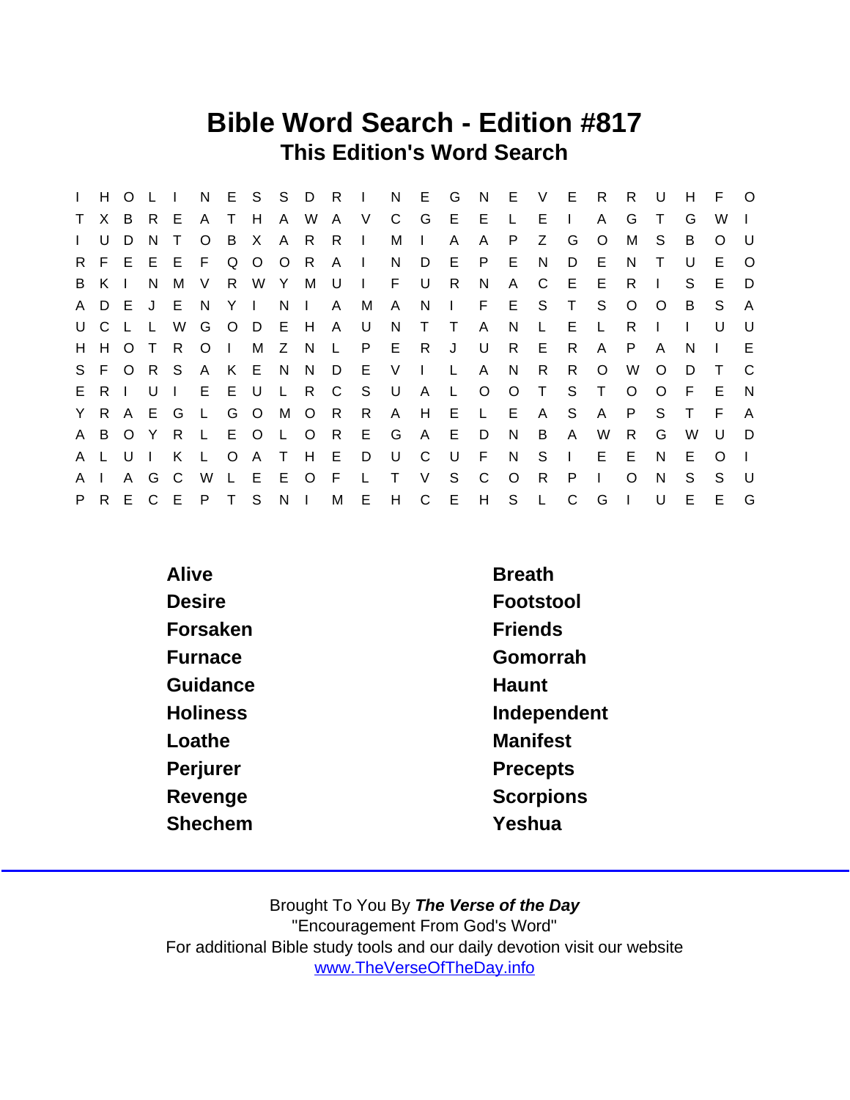### Bible Word Search - Edition #817 This Edition's Word Search

|              | H.    | $\circ$ |              | $\blacksquare$ | N              |              |         |              |              | E S S D R I  |              | N            | E.           | G            | N            | E.      | V      | - E          | R.           | R.       | U       | H            | F.       | $\circ$  |
|--------------|-------|---------|--------------|----------------|----------------|--------------|---------|--------------|--------------|--------------|--------------|--------------|--------------|--------------|--------------|---------|--------|--------------|--------------|----------|---------|--------------|----------|----------|
| T.           | X.    | B.      | R.           | E.             | A              | T.           | H       | $\mathsf{A}$ | W            | $\mathsf{A}$ | V            | C.           | G            | E.           | E            | L.      | E      |              | A            | G        |         | G            | W        |          |
| $\mathbf{L}$ | U     | D       | N            | т              | O              | B            | X       | A            | R.           | R.           | $\mathbf{L}$ | м            | $\mathbf{L}$ | A            | A            | P.      | Z      | G            | O            | м        | S.      | B            | O        | - U      |
| R.           |       | $F$ E   |              | EEF            |                | Q            | $\circ$ | $\circ$      | R            | A            | $\Box$       | N.           | D            | E.           | P            | E.      | N      | D            | E.           | N        | T.      | U            | E.       | $\Omega$ |
| B            | K     |         | N            | M              | V              | R            | W       | Y            | М            | U            | $\mathbf{I}$ | F.           | U            | R.           | N            | A       | C      | E            | E.           | R.       |         | S            | E.       | D        |
|              | A D E |         |              | J E N          |                |              | Y I     | N.           | $\mathbf{L}$ | $\mathsf{A}$ | M            | A            | N            | $\mathbf{L}$ | F            | E       | S.     | $\top$       | S.           | $\circ$  | $\circ$ | B.           | S.       | A        |
|              | U C   |         | $\mathsf{L}$ | W              | G              |              | $O$ $D$ | - E          | H            | $\mathsf{A}$ | U            | N.           | $\top$       | $\top$       | A            | N       | L.     | Е            | $\mathsf{L}$ | R        |         | $\mathbf{L}$ | U        | U        |
|              | H H O |         | $\top$       | R              | O <sub>1</sub> |              | M       | Z            | N.           | $\mathsf{L}$ | P.           | E            | R.           | J            | U            | R       | E.     | R            | A            | P        | A       | N            |          | E        |
|              | S F   | $\circ$ |              | R S            | $\mathsf{A}$   |              | K E N   |              | N            | D            | - E          | V            | $\mathbf{I}$ | $\mathbf{L}$ | $\mathsf{A}$ | N       | R.     | R.           | $\circ$      | W        | $\circ$ | D            | Τ        | C        |
|              | ERI   |         | $U \perp$    |                |                | E E U        |         | $\mathsf{L}$ |              | R C          | - S          | U            | $\mathsf{A}$ | $\mathbf{L}$ | $\circ$      | $\circ$ | $\top$ | S            | T.           | $\Omega$ | $\circ$ | F.           | E        | N        |
|              | Y R A |         |              | E G            | $\mathsf{L}$   | G            | $\circ$ | M            | $\circ$      | R            | $\mathsf{R}$ | $\mathsf{A}$ | H            | E            | L E          |         | A      | S            | A            | P        | S.      | Τ            | E        | A        |
|              | A B   | $\circ$ | Y            | R              | $\mathsf{L}$   |              | E O     | $\mathsf{L}$ | $\circ$      | R.           | E.           | G            | A            | E.           | D            | N.      | B      | A            | W            | R        | G       | W            | U        | D        |
| A L          |       | U       | $\mathbf{L}$ | K              | - L -          | $\circ$      | A       | $\top$       | H            | E.           | D            | U            | C            | U            | F.           | N.      | S      | $\Box$       | E.           | E        | N.      | Е            | $\Omega$ |          |
| A            |       | A       | G            | C.             | W              | $\mathbf{L}$ | E.      | E            | $\circ$      | F            |              |              | $\vee$       | S.           | C            | $\circ$ | R      | P            |              | $\Omega$ | N       | S.           | S.       | $\cup$   |
| P.           | R.    | E       |              | C E            | P.             | $\mathsf{T}$ | S.      | $N \mid$     |              | M            | E            | H            | $\mathsf{C}$ | E            | H            | S L     |        | $\mathsf{C}$ | G            |          | U       | Е            | E        | G        |

| Alive           | <b>Breath</b>   |
|-----------------|-----------------|
| <b>Desire</b>   | Footstool       |
| Forsaken        | <b>Friends</b>  |
| Furnace         | Gomorrah        |
| Guidance        | Haunt           |
| <b>Holiness</b> | Independent     |
| Loathe          | <b>Manifest</b> |
| Perjurer        | <b>Precepts</b> |
| Revenge         | Scorpions       |
| Shechem         | Yeshua          |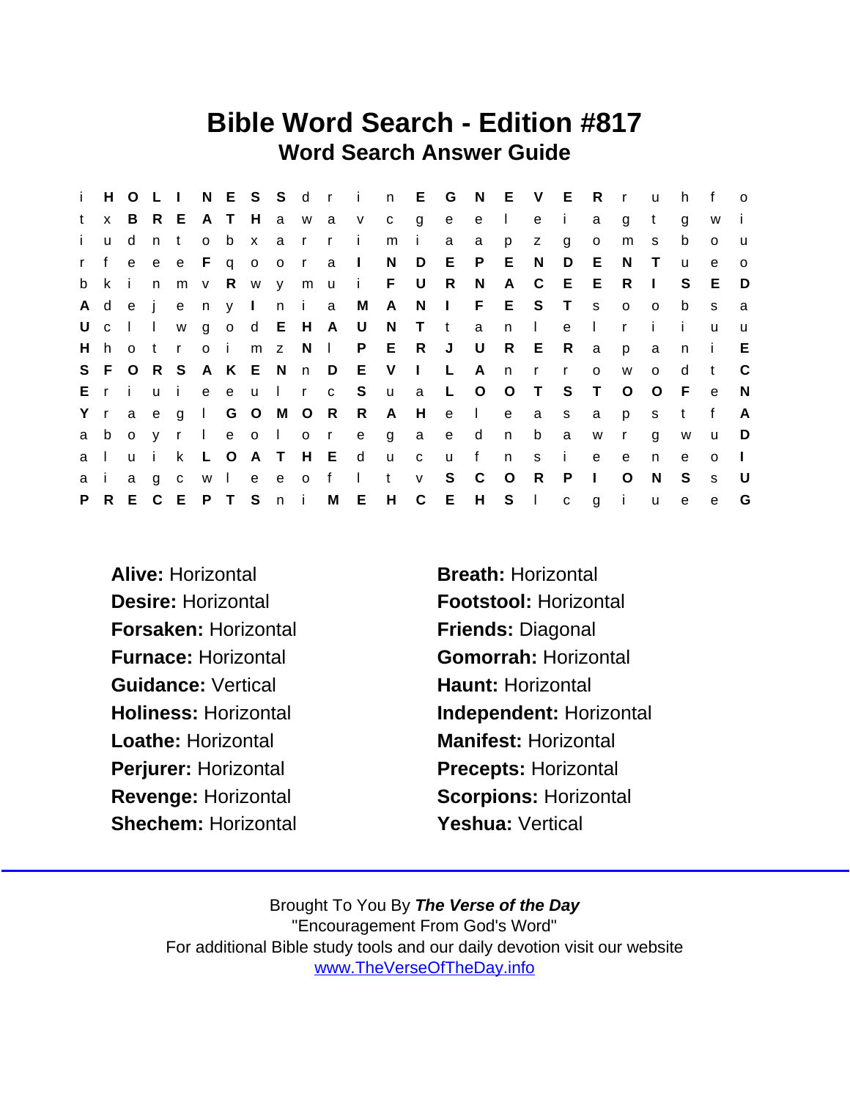### Bible Word Search - Edition #817 Word Search Answer Guide

| j.           |              | H O L I        |        |              |        |           |         |     |                |                     | NESS drin E           |              |                | G          | N            | E V E        |              |              | $\mathsf{R}$ | $\mathsf{r}$ | <b>u</b>     | h.           | f            | $\Omega$     |
|--------------|--------------|----------------|--------|--------------|--------|-----------|---------|-----|----------------|---------------------|-----------------------|--------------|----------------|------------|--------------|--------------|--------------|--------------|--------------|--------------|--------------|--------------|--------------|--------------|
| t            | $\mathsf{x}$ |                |        |              |        |           |         |     |                |                     | B R E A T H a w a v c |              | $\mathbf{g}$   | e          | e            | $\mathbf{I}$ | e            | -i-          | a            | g            | $\mathsf{t}$ | g            | W            | j.           |
| $\mathbf{i}$ | <b>u</b>     | d              | n t    |              | o b    |           |         |     | x a r r        |                     | $\mathbf{i}$          | m            | j.             | a          | a            | p            | Z            | g            | $\circ$      | m            | S            | b            | $\circ$      | u            |
| r f          |              |                |        |              |        |           |         |     |                | e e e F q o o r a l |                       | N            | D              |            | E P          | E.           | N            | D            | E.           | N            | $\top$       | $\mathsf{u}$ | e            | $\Omega$     |
| b            | k            | -i-            | n      |              | m v R  |           |         |     | wymu           |                     | i F U                 |              |                | R          | N            | $\mathsf{A}$ | $\mathbf{C}$ | E            | Е            | R.           | $\mathbb{R}$ | S.           | E.           | D            |
|              | Adej         |                |        |              |        |           | en y I  |     | n i a          |                     | M A                   |              | N              | $\sim 1$ . |              | F E          | S            | $\top$       | <b>S</b>     | $\circ$      | $\circ$      | b            | S            | a            |
| U            | $\mathbf{C}$ | $\blacksquare$ | $\Box$ | W            |        | $g \circ$ |         |     |                | d E H A U           |                       | N            | T t            |            | a            | n            | $\mathbf{L}$ | e            | $\mathbf{I}$ | $\mathsf{r}$ | $\mathbf{i}$ | -i -         | u            | $\mathsf{u}$ |
|              |              |                |        | Hhotr        | o i    |           |         |     | m z N l        |                     |                       | P E          | R              | J          | U            |              | R E          | R.           | a            | p            | a            | n.           | -i-          | E.           |
|              | S F O R S    |                |        |              |        |           | A K E N |     | n D            |                     | E V                   |              | $\mathbb{R}^n$ | L          | A            | n            | $\mathbf{r}$ | $\mathsf{r}$ | $\circ$      | W            | $\Omega$     | d            | t            | C            |
|              | Eri          |                |        | u i          |        | e e       |         |     | u I r          | $\mathbf{C}$        | S                     | <b>u</b>     | a              | L.         | $\circ$      | O T          |              | S            | $\top$       | $\circ$      | $\circ$      | - F          | e            | N            |
| Y r          |              | a              | e      | g            |        |           |         |     | I G O M O R    |                     | $\mathsf{R}$          | $\mathsf{A}$ | H              | e          | $\mathbf{L}$ | e            | a            | s            | a            | p            | s            | t            | $\mathbf{f}$ | A            |
| a            | b            | $\circ$        | V      | $\mathbf{r}$ | $\Box$ |           | e o l   |     | 0 <sub>0</sub> |                     | e                     | g            | a              | e          | d            | n            | b            | a            | W            | $\mathsf{r}$ | g            | W            | u            | D            |
| a            |              | $\mathbf{u}$   | i.     | k.           | L O    |           |         |     | A T H E        |                     | $\mathsf{d}$          | u            | $\mathbf{C}$   | <b>u</b>   | f            | n            | s.           | i.           | e            | e            | n.           | e            | $\Omega$     | $\mathbf{I}$ |
| a            |              | a              | g      | $\mathbf{C}$ |        | w I       |         | e e | $\circ$        | $-f$                | $\mathbf{I}$          | $\mathbf{t}$ | V              | S          | $\mathsf{C}$ | $\circ$      | R.           | P            | $\mathbf{I}$ | O            | <sup>N</sup> | S            | S            | U            |
| P.           |              | R E C          |        |              |        |           | EPTSni  |     |                | M                   |                       | E H          | $\mathsf{C}$   | E          | H            |              | $S \mid$     | $\mathbf{C}$ | g            | j.           | <b>u</b>     | $\mathbf{e}$ | e            | G            |

- Alive: Horizontal **Breath: Horizontal** Desire: Horizontal **Footstool: Horizontal** Forsaken: Horizontal Friends: Diagonal Guidance: Vertical **Haunt: Horizontal** Loathe: Horizontal Manifest: Horizontal Perjurer: Horizontal Precepts: Horizontal Shechem: Horizontal **Yeshua: Vertical**
- Furnace: Horizontal Gomorrah: Horizontal Holiness: Horizontal **Independent: Horizontal** Revenge: Horizontal Scorpions: Horizontal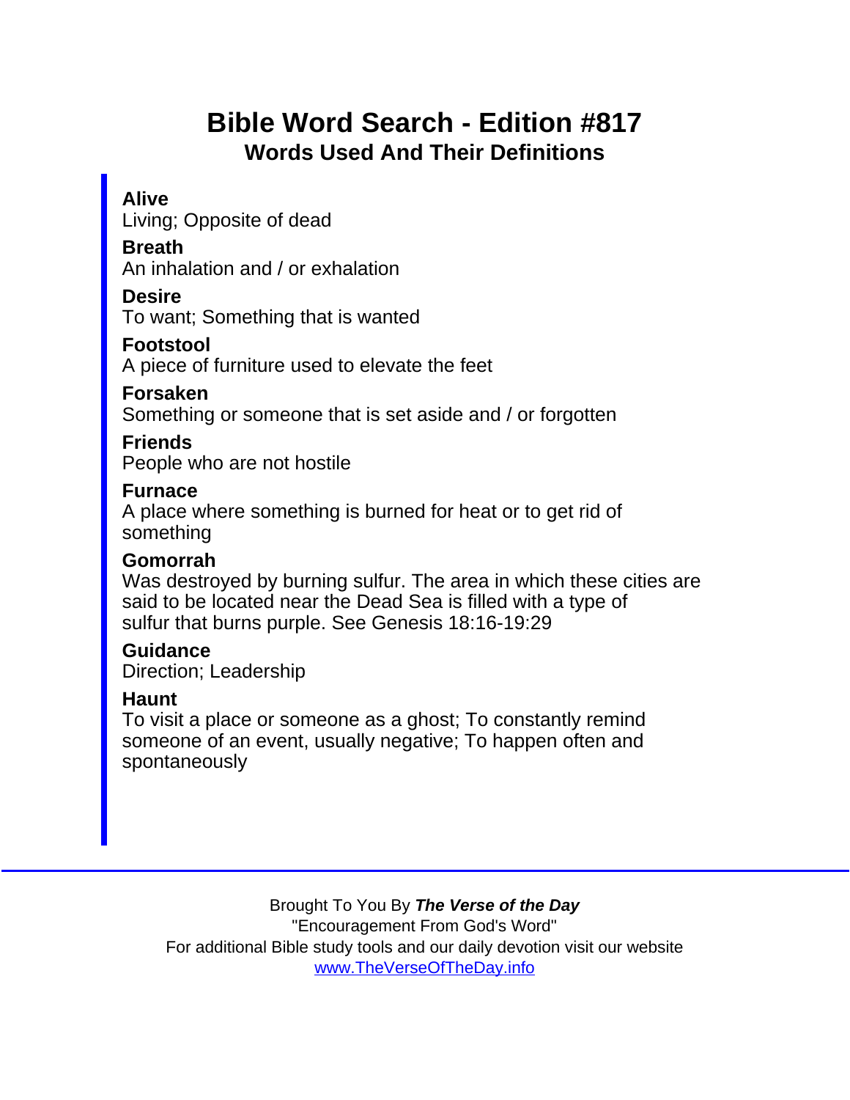# Bible Word Search - Edition #817 Words Used And Their Definitions

#### Alive

Living; Opposite of dead

Breath

An inhalation and / or exhalation

**Desire** 

To want; Something that is wanted

Footstool

A piece of furniture used to elevate the feet

Forsaken

Something or someone that is set aside and / or forgotten

Friends

People who are not hostile

Furnace

A place where something is burned for heat or to get rid of something

Gomorrah

Was destroyed by burning sulfur. The area in which these cities are said to be located near the Dead Sea is filled with a type of sulfur that burns purple. See Genesis 18:16-19:29

Guidance Direction; Leadership

Haunt

To visit a place or someone as a ghost; To constantly remind someone of an event, usually negative; To happen often and spontaneously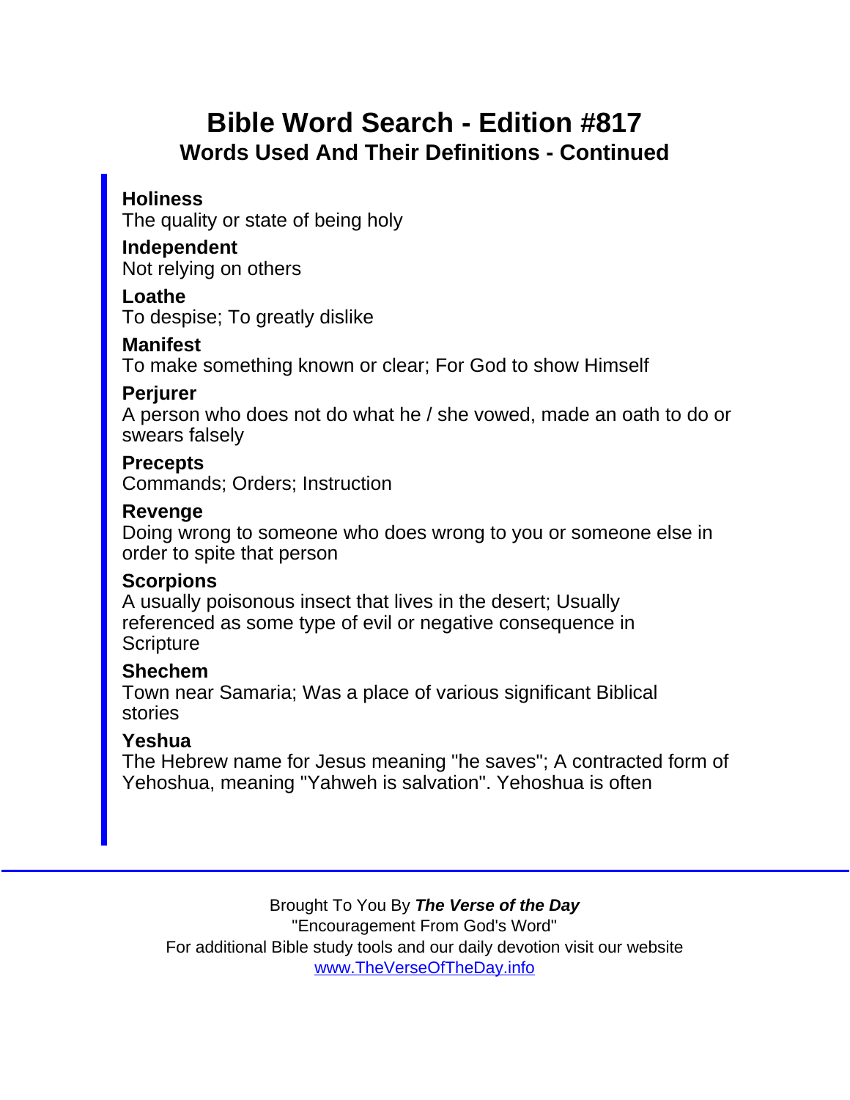## Bible Word Search - Edition #817 Words Used And Their Definitions - Continued

**Holiness** 

The quality or state of being holy

Independent Not relying on others

Loathe

To despise; To greatly dislike

**Manifest** 

To make something known or clear; For God to show Himself

**Periurer** 

A person who does not do what he / she vowed, made an oath to do or swears falsely

**Precepts** Commands; Orders; Instruction

Revenge

Doing wrong to someone who does wrong to you or someone else in order to spite that person

**Scorpions** 

A usually poisonous insect that lives in the desert; Usually referenced as some type of evil or negative consequence in **Scripture** 

Shechem

Town near Samaria; Was a place of various significant Biblical stories

Yeshua

The Hebrew name for Jesus meaning "he saves"; A contracted form of Yehoshua, meaning "Yahweh is salvation". Yehoshua is often